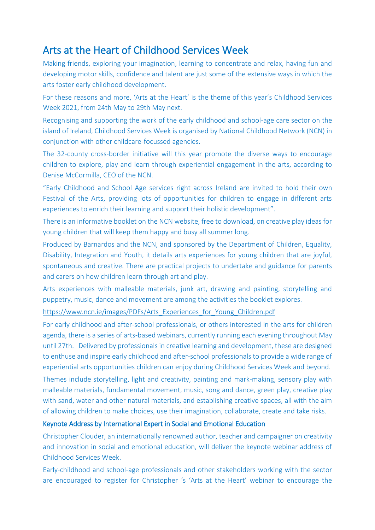## Arts at the Heart of Childhood Services Week

Making friends, exploring your imagination, learning to concentrate and relax, having fun and developing motor skills, confidence and talent are just some of the extensive ways in which the arts foster early childhood development.

For these reasons and more, 'Arts at the Heart' is the theme of this year's Childhood Services Week 2021, from 24th May to 29th May next.

Recognising and supporting the work of the early childhood and school-age care sector on the island of Ireland, Childhood Services Week is organised by National Childhood Network (NCN) in conjunction with other childcare-focussed agencies.

The 32-county cross-border initiative will this year promote the diverse ways to encourage children to explore, play and learn through experiential engagement in the arts, according to Denise McCormilla, CEO of the NCN.

"Early Childhood and School Age services right across Ireland are invited to hold their own Festival of the Arts, providing lots of opportunities for children to engage in different arts experiences to enrich their learning and support their holistic development".

There is an informative booklet on the NCN website, free to download, on creative play ideas for young children that will keep them happy and busy all summer long.

Produced by Barnardos and the NCN, and sponsored by the Department of Children, Equality, Disability, Integration and Youth, it details arts experiences for young children that are joyful, spontaneous and creative. There are practical projects to undertake and guidance for parents and carers on how children learn through art and play.

Arts experiences with malleable materials, junk art, drawing and painting, storytelling and puppetry, music, dance and movement are among the activities the booklet explores.

[https://www.ncn.ie/images/PDFs/Arts\\_Experiences\\_for\\_Young\\_Children.pdf](https://www.ncn.ie/images/PDFs/Arts_Experiences_for_Young_Children.pdf)

For early childhood and after-school professionals, or others interested in the arts for children agenda, there is a series of arts-based webinars, currently running each evening throughout May until 27th. Delivered by professionals in creative learning and development, these are designed to enthuse and inspire early childhood and after-school professionals to provide a wide range of experiential arts opportunities children can enjoy during Childhood Services Week and beyond.

Themes include storytelling, light and creativity, painting and mark-making, sensory play with malleable materials, fundamental movement, music, song and dance, green play, creative play with sand, water and other natural materials, and establishing creative spaces, all with the aim of allowing children to make choices, use their imagination, collaborate, create and take risks.

## Keynote Address by International Expert in Social and Emotional Education

Christopher Clouder, an internationally renowned author, teacher and campaigner on creativity and innovation in social and emotional education, will deliver the keynote webinar address of Childhood Services Week.

Early-childhood and school-age professionals and other stakeholders working with the sector are encouraged to register for Christopher 's 'Arts at the Heart' webinar to encourage the